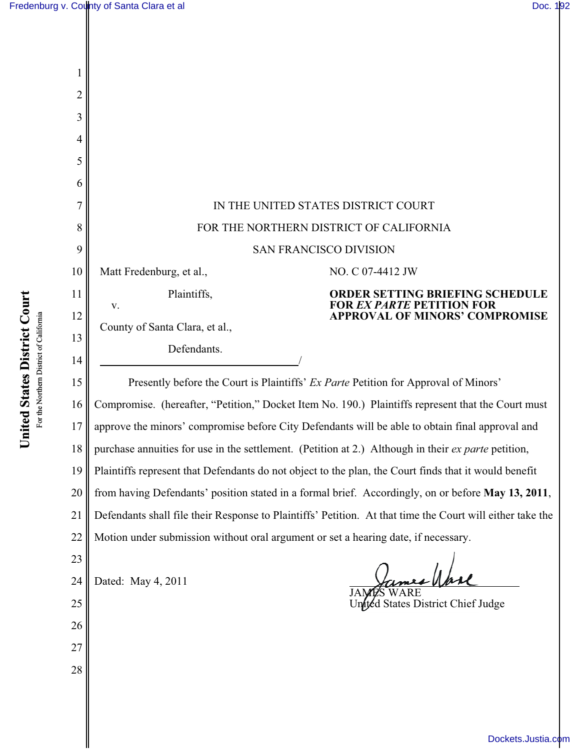| 1  |                                                                                                           |
|----|-----------------------------------------------------------------------------------------------------------|
| 2  |                                                                                                           |
| 3  |                                                                                                           |
| 4  |                                                                                                           |
| 5  |                                                                                                           |
| 6  |                                                                                                           |
|    | IN THE UNITED STATES DISTRICT COURT                                                                       |
| 8  | FOR THE NORTHERN DISTRICT OF CALIFORNIA                                                                   |
| 9  | <b>SAN FRANCISCO DIVISION</b>                                                                             |
| 10 | Matt Fredenburg, et al.,<br>NO. C 07-4412 JW                                                              |
| 11 | Plaintiffs,<br><b>ORDER SETTING BRIEFING SCHEDULE</b><br><b>FOR EX PARTE PETITION FOR</b>                 |
| 12 | V.<br><b>APPROVAL OF MINORS' COMPROMISE</b><br>County of Santa Clara, et al.,                             |
| 13 | Defendants.                                                                                               |
| 14 |                                                                                                           |
| 15 | Presently before the Court is Plaintiffs' Ex Parte Petition for Approval of Minors'                       |
| 16 | Compromise. (hereafter, "Petition," Docket Item No. 190.) Plaintiffs represent that the Court must        |
| 17 | approve the minors' compromise before City Defendants will be able to obtain final approval and           |
| 18 | purchase annuities for use in the settlement. (Petition at 2.) Although in their ex parte petition,       |
| 19 | Plaintiffs represent that Defendants do not object to the plan, the Court finds that it would benefit     |
| 20 | from having Defendants' position stated in a formal brief. Accordingly, on or before May 13, 2011,        |
| 21 | Defendants shall file their Response to Plaintiffs' Petition. At that time the Court will either take the |
| 22 | Motion under submission without oral argument or set a hearing date, if necessary.                        |
| 23 |                                                                                                           |
| 24 | Dated: May 4, 2011                                                                                        |
| 25 | United States District Chief Judge                                                                        |
| 26 |                                                                                                           |
| 27 |                                                                                                           |
| 28 |                                                                                                           |
|    |                                                                                                           |

United States District Court **United States District Court** For the Northern District of California For the Northern District of California